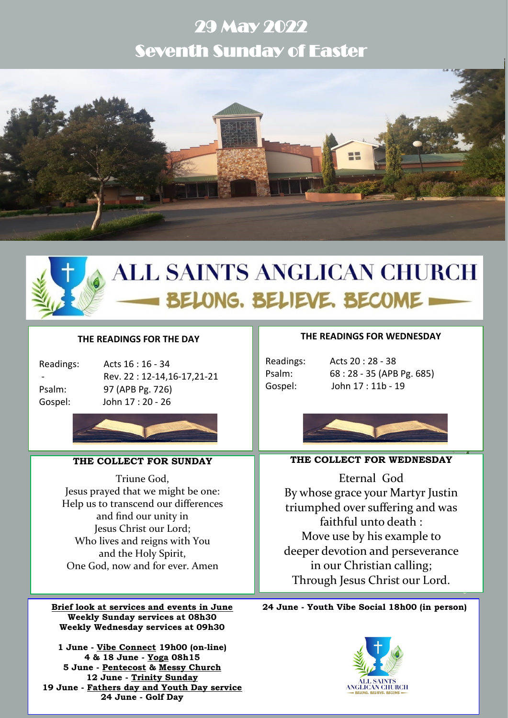# 29 May 2022 Seventh Sunday of Easter



# **ALL SAINTS ANGLICAN CHURCH** BELONG. BELIEVE. BECOME =

# **THE READINGS FOR THE DAY**

Readings: Acts 16 : 16 - 34 - Rev. 22 : 12-14,16-17,21-21 Psalm: 97 (APB Pg. 726) Gospel: John 17 : 20 - 26



# **THE COLLECT FOR SUNDAY**

Triune God, Jesus prayed that we might be one: Help us to transcend our differences and find our unity in Jesus Christ our Lord; Who lives and reigns with You and the Holy Spirit, One God, now and for ever. Amen

**Brief look at services and events in June Weekly Sunday services at 08h30 Weekly Wednesday services at 09h30**

**1 June - Vibe Connect 19h00 (on-line) 4 & 18 June - Yoga 08h15 5 June - Pentecost & Messy Church 12 June - Trinity Sunday 19 June - Fathers day and Youth Day service 24 June - Golf Day**

#### **THE READINGS FOR WEDNESDAY**

Readings: Acts 20 : 28 - 38 Psalm: 68 : 28 - 35 (APB Pg. 685) Gospel: John 17 : 11b - 19



# **THE COLLECT FOR WEDNESDAY**

Eternal God By whose grace your Martyr Justin triumphed over suffering and was faithful unto death : Move use by his example to deeper devotion and perseverance in our Christian calling; Through Jesus Christ our Lord.

**24 June - Youth Vibe Social 18h00 (in person)**